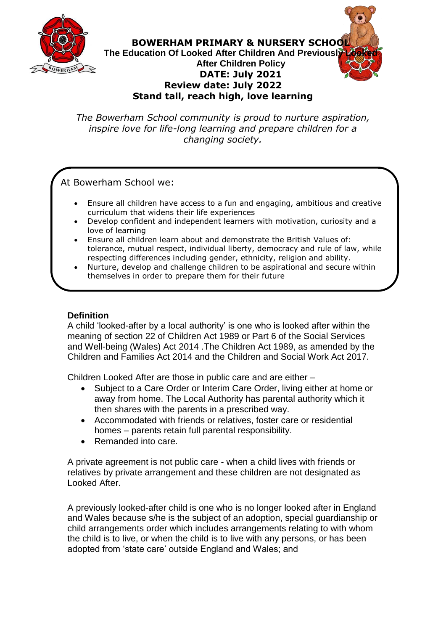

**BOWERHAM PRIMARY & NURSERY SCHOOL The Education Of Looked After Children And Previously After Children Policy DATE: July 2021 Review date: July 2022 Stand tall, reach high, love learning**

*The Bowerham School community is proud to nurture aspiration, inspire love for life-long learning and prepare children for a changing society.*

At Bowerham School we:

- Ensure all children have access to a fun and engaging, ambitious and creative curriculum that widens their life experiences
- Develop confident and independent learners with motivation, curiosity and a love of learning
- Ensure all children learn about and demonstrate the British Values of: tolerance, mutual respect, individual liberty, democracy and rule of law, while respecting differences including gender, ethnicity, religion and ability.
- Nurture, develop and challenge children to be aspirational and secure within themselves in order to prepare them for their future

# **Definition**

A child 'looked-after by a local authority' is one who is looked after within the meaning of section 22 of Children Act 1989 or Part 6 of the Social Services and Well-being (Wales) Act 2014 .The Children Act 1989, as amended by the Children and Families Act 2014 and the Children and Social Work Act 2017.

Children Looked After are those in public care and are either –

- Subject to a Care Order or Interim Care Order, living either at home or away from home. The Local Authority has parental authority which it then shares with the parents in a prescribed way.
- Accommodated with friends or relatives, foster care or residential homes – parents retain full parental responsibility.
- Remanded into care.

A private agreement is not public care - when a child lives with friends or relatives by private arrangement and these children are not designated as Looked After.

A previously looked-after child is one who is no longer looked after in England and Wales because s/he is the subject of an adoption, special guardianship or child arrangements order which includes arrangements relating to with whom the child is to live, or when the child is to live with any persons, or has been adopted from 'state care' outside England and Wales; and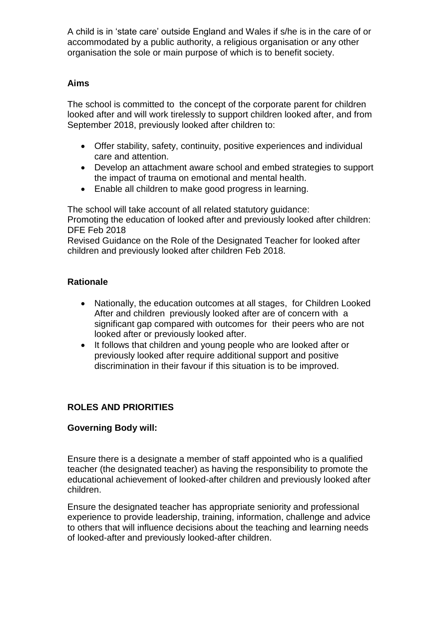A child is in 'state care' outside England and Wales if s/he is in the care of or accommodated by a public authority, a religious organisation or any other organisation the sole or main purpose of which is to benefit society.

#### **Aims**

The school is committed to the concept of the corporate parent for children looked after and will work tirelessly to support children looked after, and from September 2018, previously looked after children to:

- Offer stability, safety, continuity, positive experiences and individual care and attention.
- Develop an attachment aware school and embed strategies to support the impact of trauma on emotional and mental health.
- Enable all children to make good progress in learning.

The school will take account of all related statutory guidance: Promoting the education of looked after and previously looked after children: DFE Feb 2018

Revised Guidance on the Role of the Designated Teacher for looked after children and previously looked after children Feb 2018.

## **Rationale**

- Nationally, the education outcomes at all stages, for Children Looked After and children previously looked after are of concern with a significant gap compared with outcomes for their peers who are not looked after or previously looked after.
- It follows that children and young people who are looked after or previously looked after require additional support and positive discrimination in their favour if this situation is to be improved.

## **ROLES AND PRIORITIES**

## **Governing Body will:**

Ensure there is a designate a member of staff appointed who is a qualified teacher (the designated teacher) as having the responsibility to promote the educational achievement of looked-after children and previously looked after children.

Ensure the designated teacher has appropriate seniority and professional experience to provide leadership, training, information, challenge and advice to others that will influence decisions about the teaching and learning needs of looked-after and previously looked-after children.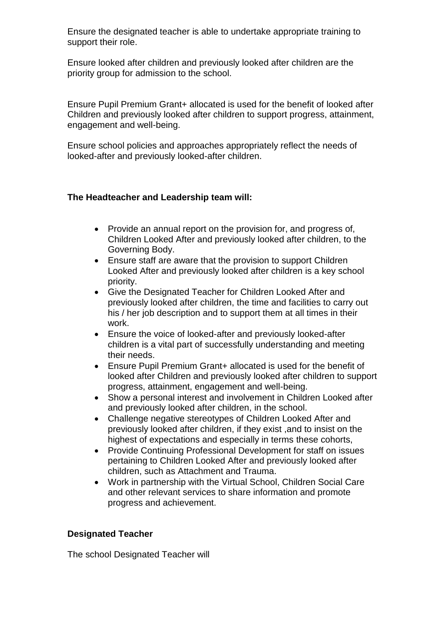Ensure the designated teacher is able to undertake appropriate training to support their role.

Ensure looked after children and previously looked after children are the priority group for admission to the school.

Ensure Pupil Premium Grant+ allocated is used for the benefit of looked after Children and previously looked after children to support progress, attainment, engagement and well-being.

Ensure school policies and approaches appropriately reflect the needs of looked-after and previously looked-after children.

#### **The Headteacher and Leadership team will:**

- Provide an annual report on the provision for, and progress of, Children Looked After and previously looked after children, to the Governing Body.
- Ensure staff are aware that the provision to support Children Looked After and previously looked after children is a key school priority.
- Give the Designated Teacher for Children Looked After and previously looked after children, the time and facilities to carry out his / her job description and to support them at all times in their work.
- Ensure the voice of looked-after and previously looked-after children is a vital part of successfully understanding and meeting their needs.
- Ensure Pupil Premium Grant+ allocated is used for the benefit of looked after Children and previously looked after children to support progress, attainment, engagement and well-being.
- Show a personal interest and involvement in Children Looked after and previously looked after children, in the school.
- Challenge negative stereotypes of Children Looked After and previously looked after children, if they exist ,and to insist on the highest of expectations and especially in terms these cohorts,
- Provide Continuing Professional Development for staff on issues pertaining to Children Looked After and previously looked after children, such as Attachment and Trauma.
- Work in partnership with the Virtual School, Children Social Care and other relevant services to share information and promote progress and achievement.

#### **Designated Teacher**

The school Designated Teacher will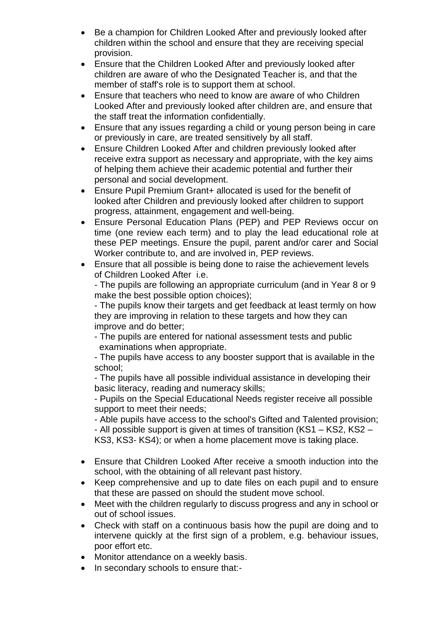- Be a champion for Children Looked After and previously looked after children within the school and ensure that they are receiving special provision.
- Ensure that the Children Looked After and previously looked after children are aware of who the Designated Teacher is, and that the member of staff's role is to support them at school.
- Ensure that teachers who need to know are aware of who Children Looked After and previously looked after children are, and ensure that the staff treat the information confidentially.
- Ensure that any issues regarding a child or young person being in care or previously in care, are treated sensitively by all staff.
- Ensure Children Looked After and children previously looked after receive extra support as necessary and appropriate, with the key aims of helping them achieve their academic potential and further their personal and social development.
- Ensure Pupil Premium Grant+ allocated is used for the benefit of looked after Children and previously looked after children to support progress, attainment, engagement and well-being.
- Ensure Personal Education Plans (PEP) and PEP Reviews occur on time (one review each term) and to play the lead educational role at these PEP meetings. Ensure the pupil, parent and/or carer and Social Worker contribute to, and are involved in, PEP reviews.
- Ensure that all possible is being done to raise the achievement levels of Children Looked After i.e.

- The pupils are following an appropriate curriculum (and in Year 8 or 9 make the best possible option choices);

- The pupils know their targets and get feedback at least termly on how they are improving in relation to these targets and how they can improve and do better;

- The pupils are entered for national assessment tests and public examinations when appropriate.

- The pupils have access to any booster support that is available in the school;

- The pupils have all possible individual assistance in developing their basic literacy, reading and numeracy skills;

- Pupils on the Special Educational Needs register receive all possible support to meet their needs;

- Able pupils have access to the school's Gifted and Talented provision;

- All possible support is given at times of transition (KS1 – KS2, KS2 – KS3, KS3- KS4); or when a home placement move is taking place.

- Ensure that Children Looked After receive a smooth induction into the school, with the obtaining of all relevant past history.
- Keep comprehensive and up to date files on each pupil and to ensure that these are passed on should the student move school.
- Meet with the children regularly to discuss progress and any in school or out of school issues.
- Check with staff on a continuous basis how the pupil are doing and to intervene quickly at the first sign of a problem, e.g. behaviour issues, poor effort etc.
- Monitor attendance on a weekly basis.
- In secondary schools to ensure that:-